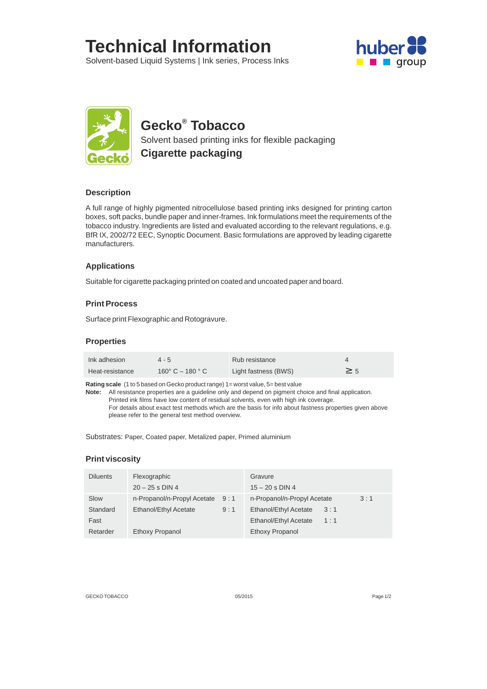# **Technical Information**

Solvent-based Liquid Systems | Ink series, Process Inks





# **® Gecko Tobacco**

Solvent based printing inks for flexible packaging **Cigarette packaging** 

# **Description**

A full range of highly pigmented nitrocellulose based printing inks designed for printing carton boxes, soft packs, bundle paper and inner-frames. Ink formulations meet the requirements of the tobacco industry. Ingredients are listed and evaluated according to the relevant regulations, e.g. BfR IX, 2002/72 EEC, Synoptic Document. Basic formulations are approved by leading cigarette manufacturers.

# **Applications**

Suitable for cigarette packaging printed on coated and uncoated paper and board.

# **Print Process**

Surface print Flexographic and Rotogravure.

### **Properties**

| Ink adhesion    | $4 - 5$                             | Rub resistance       |  |
|-----------------|-------------------------------------|----------------------|--|
| Heat-resistance | 160 $^{\circ}$ C – 180 $^{\circ}$ C | Light fastness (BWS) |  |

**Rating scale** (1 to 5 based on Gecko product range) 1= worst value, 5= best value

**Note:** All resistance properties are a guideline only and depend on pigment choice and final application. Printed ink films have low content of residual solvents, even with high ink coverage. For details about exact test methods which are the basis for info about fastness properties given above please refer to the general test method overview.

Substrates: Paper, Coated paper, Metalized paper, Primed aluminium

#### **Print viscosity**

| <b>Diluents</b> | Flexographic                |     | Gravure                     |     |     |
|-----------------|-----------------------------|-----|-----------------------------|-----|-----|
|                 | $20 - 25$ s DIN 4           |     | $15 - 20$ s DIN 4           |     |     |
| Slow            | n-Propanol/n-Propyl Acetate | 9:1 | n-Propanol/n-Propyl Acetate |     | 3:1 |
| Standard        | Ethanol/Ethyl Acetate       | 9:1 | Ethanol/Ethyl Acetate       | 3:1 |     |
| Fast            |                             |     | Ethanol/Ethyl Acetate       | 1:1 |     |
| Retarder        | Ethoxy Propanol             |     | Ethoxy Propanol             |     |     |